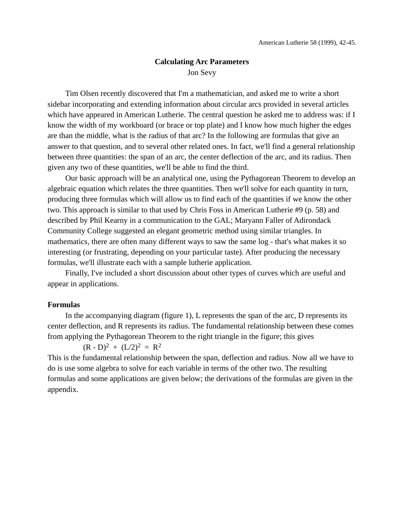# **Calculating Arc Parameters** Jon Sevy

Tim Olsen recently discovered that I'm a mathematician, and asked me to write a short sidebar incorporating and extending information about circular arcs provided in several articles which have appeared in American Lutherie. The central question he asked me to address was: if I know the width of my workboard (or brace or top plate) and I know how much higher the edges are than the middle, what is the radius of that arc? In the following are formulas that give an answer to that question, and to several other related ones. In fact, we'll find a general relationship between three quantities: the span of an arc, the center deflection of the arc, and its radius. Then given any two of these quantities, we'll be able to find the third.

Our basic approach will be an analytical one, using the Pythagorean Theorem to develop an algebraic equation which relates the three quantities. Then we'll solve for each quantity in turn, producing three formulas which will allow us to find each of the quantities if we know the other two. This approach is similar to that used by Chris Foss in American Lutherie #9 (p. 58) and described by Phil Kearny in a communication to the GAL; Maryann Faller of Adirondack Community College suggested an elegant geometric method using similar triangles. In mathematics, there are often many different ways to saw the same log - that's what makes it so interesting (or frustrating, depending on your particular taste). After producing the necessary formulas, we'll illustrate each with a sample lutherie application.

Finally, I've included a short discussion about other types of curves which are useful and appear in applications.

#### **Formulas**

In the accompanying diagram (figure 1), L represents the span of the arc, D represents its center deflection, and R represents its radius. The fundamental relationship between these comes from applying the Pythagorean Theorem to the right triangle in the figure; this gives

 $(R - D)^2 + (L/2)^2 = R^2$ 

This is the fundamental relationship between the span, deflection and radius. Now all we have to do is use some algebra to solve for each variable in terms of the other two. The resulting formulas and some applications are given below; the derivations of the formulas are given in the appendix.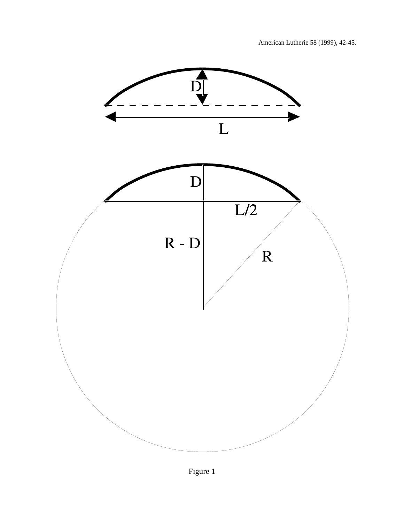

Figure 1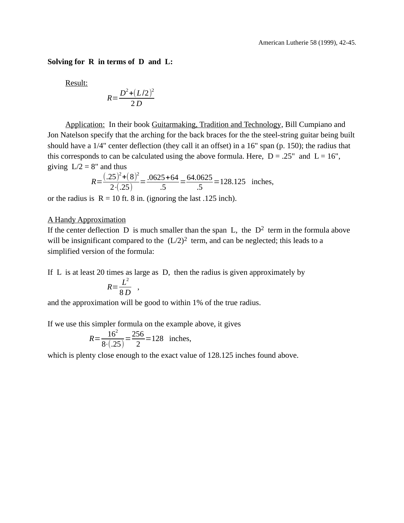**Solving for R in terms of D and L:**

Result:

$$
R = \frac{D^2 + (L/2)^2}{2 D}
$$

Application: In their book Guitarmaking, Tradition and Technology, Bill Cumpiano and Jon Natelson specify that the arching for the back braces for the the steel-string guitar being built should have a 1/4" center deflection (they call it an offset) in a 16" span (p. 150); the radius that this corresponds to can be calculated using the above formula. Here,  $D = .25$ " and  $L = 16$ ", giving  $L/2 = 8$ " and thus

$$
R = \frac{(.25)^{2} + (8)^{2}}{2 \cdot (.25)} = \frac{.0625 + 64}{.5} = \frac{64.0625}{.5} = 128.125
$$
 inches,

or the radius is  $R = 10$  ft. 8 in. (ignoring the last .125 inch).

### A Handy Approximation

If the center deflection D is much smaller than the span L, the  $D^2$  term in the formula above will be insignificant compared to the  $(L/2)^2$  term, and can be neglected; this leads to a simplified version of the formula:

If L is at least 20 times as large as D, then the radius is given approximately by

$$
R = \frac{L^2}{8 D} ,
$$

and the approximation will be good to within 1% of the true radius.

If we use this simpler formula on the example above, it gives

$$
R = \frac{16^2}{8 \cdot (0.25)} = \frac{256}{2} = 128
$$
 inches,

which is plenty close enough to the exact value of 128.125 inches found above.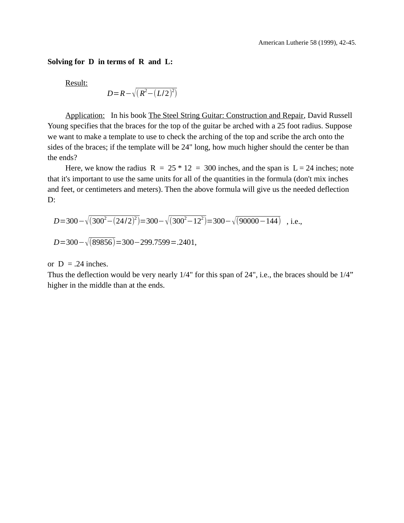## **Solving for D in terms of R and L:**

Result:

$$
D = R - \sqrt{(R^2 - (L/2)^2)}
$$

Application: In his book The Steel String Guitar: Construction and Repair, David Russell Young specifies that the braces for the top of the guitar be arched with a 25 foot radius. Suppose we want to make a template to use to check the arching of the top and scribe the arch onto the sides of the braces; if the template will be 24" long, how much higher should the center be than the ends?

Here, we know the radius  $R = 25 * 12 = 300$  inches, and the span is  $L = 24$  inches; note that it's important to use the same units for all of the quantities in the formula (don't mix inches and feet, or centimeters and meters). Then the above formula will give us the needed deflection D:

$$
D=300-\sqrt{(300^2-(24/2)^2)}=300-\sqrt{(300^2-12^2)}=300-\sqrt{(90000-144)} \text{ , i.e.,}
$$
  

$$
D=300-\sqrt{(89856)}=300-299.7599=.2401,
$$

or  $D = .24$  inches.

Thus the deflection would be very nearly 1/4" for this span of 24", i.e., the braces should be 1/4" higher in the middle than at the ends.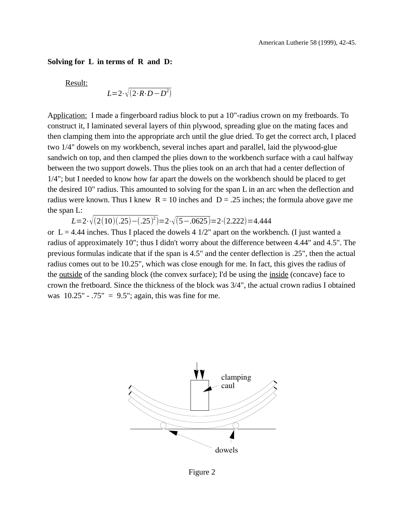#### **Solving for L in terms of R and D:**

Result:

$$
L=2\cdot\sqrt{(2\cdot R\cdot D-D^2)}
$$

Application: I made a fingerboard radius block to put a 10"-radius crown on my fretboards. To construct it, I laminated several layers of thin plywood, spreading glue on the mating faces and then clamping them into the appropriate arch until the glue dried. To get the correct arch, I placed two 1/4" dowels on my workbench, several inches apart and parallel, laid the plywood-glue sandwich on top, and then clamped the plies down to the workbench surface with a caul halfway between the two support dowels. Thus the plies took on an arch that had a center deflection of 1/4"; but I needed to know how far apart the dowels on the workbench should be placed to get the desired 10" radius. This amounted to solving for the span L in an arc when the deflection and radius were known. Thus I knew  $R = 10$  inches and  $D = .25$  inches; the formula above gave me the span L:

*L*=2⋅√(2(10)(.25)−(.25)<sup>2</sup>)=2⋅√(5−.0625)=2⋅(2.222)=4.444

or  $L = 4.44$  inches. Thus I placed the dowels  $4 \frac{1}{2}$  apart on the workbench. (I just wanted a radius of approximately 10"; thus I didn't worry about the difference between 4.44" and 4.5". The previous formulas indicate that if the span is 4.5" and the center deflection is .25", then the actual radius comes out to be 10.25", which was close enough for me. In fact, this gives the radius of the outside of the sanding block (the convex surface); I'd be using the inside (concave) face to crown the fretboard. Since the thickness of the block was 3/4", the actual crown radius I obtained was  $10.25" - .75" = 9.5"$ ; again, this was fine for me.



Figure 2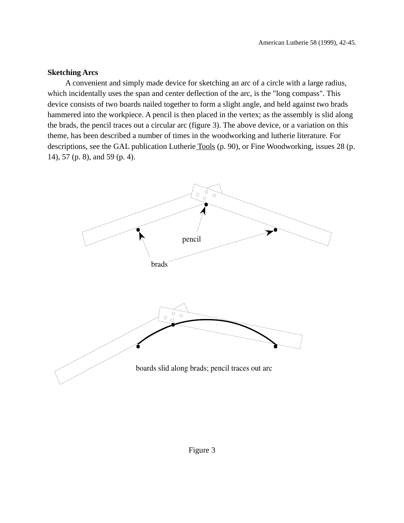## **Sketching Arcs**

A convenient and simply made device for sketching an arc of a circle with a large radius, which incidentally uses the span and center deflection of the arc, is the "long compass". This device consists of two boards nailed together to form a slight angle, and held against two brads hammered into the workpiece. A pencil is then placed in the vertex; as the assembly is slid along the brads, the pencil traces out a circular arc (figure 3). The above device, or a variation on this theme, has been described a number of times in the woodworking and lutherie literature. For descriptions, see the GAL publication Lutherie Tools (p. 90), or Fine Woodworking, issues 28 (p. 14), 57 (p. 8), and 59 (p. 4).

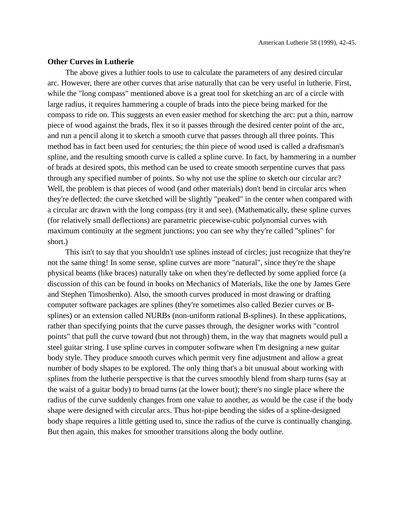#### **Other Curves in Lutherie**

The above gives a luthier tools to use to calculate the parameters of any desired circular arc. However, there are other curves that arise naturally that can be very useful in lutherie. First, while the "long compass" mentioned above is a great tool for sketching an arc of a circle with large radius, it requires hammering a couple of brads into the piece being marked for the compass to ride on. This suggests an even easier method for sketching the arc: put a thin, narrow piece of wood against the brads, flex it so it passes through the desired center point of the arc, and run a pencil along it to sketch a smooth curve that passes through all three points. This method has in fact been used for centuries; the thin piece of wood used is called a draftsman's spline, and the resulting smooth curve is called a spline curve. In fact, by hammering in a number of brads at desired spots, this method can be used to create smooth serpentine curves that pass through any specified number of points. So why not use the spline to sketch our circular arc? Well, the problem is that pieces of wood (and other materials) don't bend in circular arcs when they're deflected: the curve sketched will be slightly "peaked" in the center when compared with a circular arc drawn with the long compass (try it and see). (Mathematically, these spline curves (for relatively small deflections) are parametric piecewise-cubic polynomial curves with maximum continuity at the segment junctions; you can see why they're called "splines" for short.)

This isn't to say that you shouldn't use splines instead of circles; just recognize that they're not the same thing! In some sense, spline curves are more "natural", since they're the shape physical beams (like braces) naturally take on when they're deflected by some applied force (a discussion of this can be found in books on Mechanics of Materials, like the one by James Gere and Stephen Timoshenko). Also, the smooth curves produced in most drawing or drafting computer software packages are splines (they're sometimes also called Bezier curves or Bsplines) or an extension called NURBs (non-uniform rational B-splines). In these applications, rather than specifying points that the curve passes through, the designer works with "control points" that pull the curve toward (but not through) them, in the way that magnets would pull a steel guitar string. I use spline curves in computer software when I'm designing a new guitar body style. They produce smooth curves which permit very fine adjustment and allow a great number of body shapes to be explored. The only thing that's a bit unusual about working with splines from the lutherie perspective is that the curves smoothly blend from sharp turns (say at the waist of a guitar body) to broad turns (at the lower bout); there's no single place where the radius of the curve suddenly changes from one value to another, as would be the case if the body shape were designed with circular arcs. Thus hot-pipe bending the sides of a spline-designed body shape requires a little getting used to, since the radius of the curve is continually changing. But then again, this makes for smoother transitions along the body outline.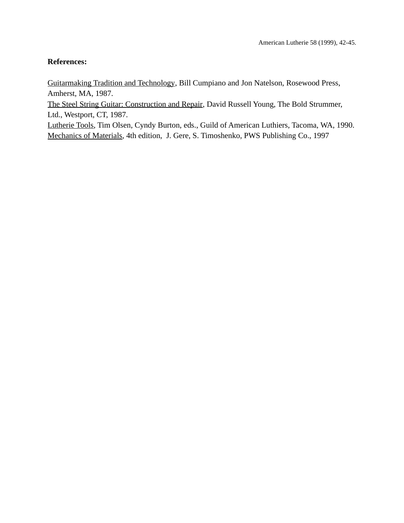## **References:**

Guitarmaking Tradition and Technology, Bill Cumpiano and Jon Natelson, Rosewood Press, Amherst, MA, 1987.

The Steel String Guitar: Construction and Repair, David Russell Young, The Bold Strummer, Ltd., Westport, CT, 1987.

Lutherie Tools, Tim Olsen, Cyndy Burton, eds., Guild of American Luthiers, Tacoma, WA, 1990. Mechanics of Materials, 4th edition, J. Gere, S. Timoshenko, PWS Publishing Co., 1997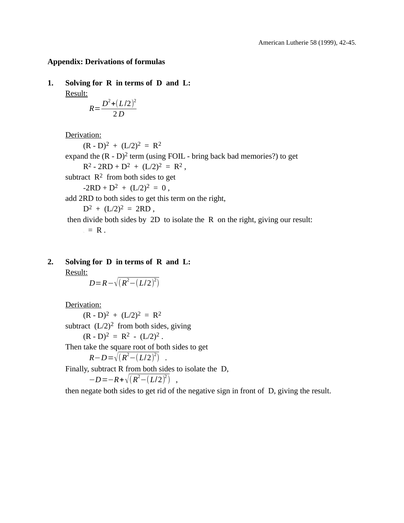## **Appendix: Derivations of formulas**

**1. Solving for R in terms of D and L:** Result:

$$
R = \frac{D^2 + (L/2)^2}{2 D}
$$

Derivation:

 $(R - D)^2 + (L/2)^2 = R^2$ expand the  $(R - D)^2$  term (using FOIL - bring back bad memories?) to get  $R^2 - 2RD + D^2 + (L/2)^2 = R^2$ , subtract  $\mathbb{R}^2$  from both sides to get  $-2RD + D^2 + (L/2)^2 = 0$ , add 2RD to both sides to get this term on the right,  $D^2 + (L/2)^2 = 2RD$ , then divide both sides by 2D to isolate the R on the right, giving our result:  $= R$ .

# **2. Solving for D in terms of R and L:**

Result:

*D*=*R* −  $\sqrt{(R^2-(L/2)^2)}$ 

Derivation:

 $(R - D)^2 + (L/2)^2 = R^2$ 

subtract  $(L/2)^2$  from both sides, giving

 $(R - D)^2 = R^2 - (L/2)^2$ .

Then take the square root of both sides to get

$$
R-D=\sqrt{(R^2-(L/2)^2)}
$$
.

Finally, subtract R from both sides to isolate the D,

$$
-D = -R + \sqrt{(R^2 - (L/2)^2)} ,
$$

then negate both sides to get rid of the negative sign in front of D, giving the result.